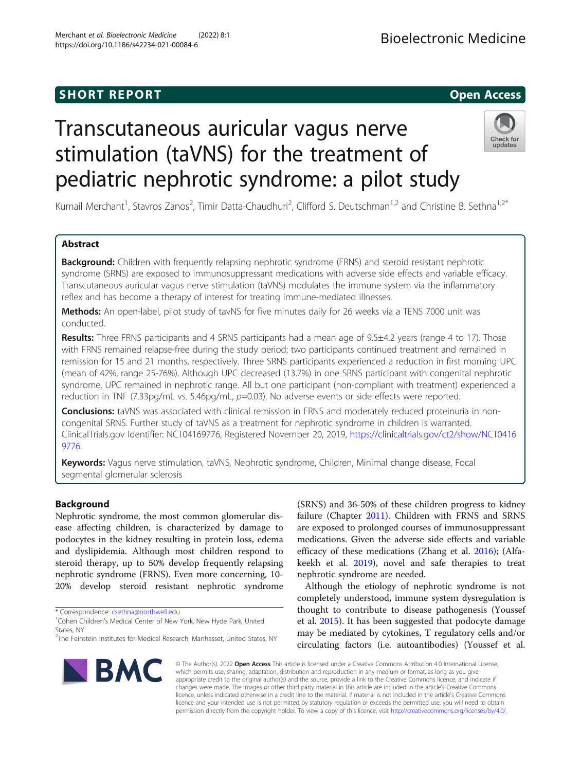# **SHORT REPORT SHORT CONSUMING THE SHORT CONSUMING THE SHORT CONSUMING THE SHORT CONSUMING THE SHORT CONSUMING THE SHORT CONSUMING THE SHORT CONSUMING THE SHORT CONSUMING THE SHORT CONSUMING THE SHORT CONSUMING THE SHORT**

# Transcutaneous auricular vagus nerve stimulation (taVNS) for the treatment of pediatric nephrotic syndrome: a pilot study



Kumail Merchant<sup>1</sup>, Stavros Zanos<sup>2</sup>, Timir Datta-Chaudhuri<sup>2</sup>, Clifford S. Deutschman<sup>1,2</sup> and Christine B. Sethna<sup>1,2\*</sup>

# Abstract

**Background:** Children with frequently relapsing nephrotic syndrome (FRNS) and steroid resistant nephrotic syndrome (SRNS) are exposed to immunosuppressant medications with adverse side effects and variable efficacy. Transcutaneous auricular vagus nerve stimulation (taVNS) modulates the immune system via the inflammatory reflex and has become a therapy of interest for treating immune-mediated illnesses.

Methods: An open-label, pilot study of tavNS for five minutes daily for 26 weeks via a TENS 7000 unit was conducted.

Results: Three FRNS participants and 4 SRNS participants had a mean age of 9.5±4.2 years (range 4 to 17). Those with FRNS remained relapse-free during the study period; two participants continued treatment and remained in remission for 15 and 21 months, respectively. Three SRNS participants experienced a reduction in first morning UPC (mean of 42%, range 25-76%). Although UPC decreased (13.7%) in one SRNS participant with congenital nephrotic syndrome, UPC remained in nephrotic range. All but one participant (non-compliant with treatment) experienced a reduction in TNF (7.33pg/mL vs. 5.46pg/mL, p=0.03). No adverse events or side effects were reported.

Conclusions: taVNS was associated with clinical remission in FRNS and moderately reduced proteinuria in noncongenital SRNS. Further study of taVNS as a treatment for nephrotic syndrome in children is warranted. ClinicalTrials.gov Identifier: NCT04169776, Registered November 20, 2019, [https://clinicaltrials.gov/ct2/show/NCT0416](https://clinicaltrials.gov/ct2/show/NCT04169776) [9776](https://clinicaltrials.gov/ct2/show/NCT04169776).

Keywords: Vagus nerve stimulation, taVNS, Nephrotic syndrome, Children, Minimal change disease, Focal segmental glomerular sclerosis

# Background

Nephrotic syndrome, the most common glomerular disease affecting children, is characterized by damage to podocytes in the kidney resulting in protein loss, edema and dyslipidemia. Although most children respond to steroid therapy, up to 50% develop frequently relapsing nephrotic syndrome (FRNS). Even more concerning, 10- 20% develop steroid resistant nephrotic syndrome

\* Correspondence: [csethna@northwell.edu](mailto:csethna@northwell.edu) <sup>1</sup>

<sup>&</sup>lt;sup>2</sup>The Feinstein Institutes for Medical Research, Manhasset, United States, NY



(SRNS) and 36-50% of these children progress to kidney failure (Chapter [2011](#page-6-0)). Children with FRNS and SRNS are exposed to prolonged courses of immunosuppressant medications. Given the adverse side effects and variable efficacy of these medications (Zhang et al. [2016\)](#page-6-0); (Alfakeekh et al. [2019](#page-6-0)), novel and safe therapies to treat nephrotic syndrome are needed.

Although the etiology of nephrotic syndrome is not completely understood, immune system dysregulation is thought to contribute to disease pathogenesis (Youssef et al. [2015](#page-6-0)). It has been suggested that podocyte damage may be mediated by cytokines, T regulatory cells and/or circulating factors (i.e. autoantibodies) (Youssef et al.

© The Author(s). 2022 Open Access This article is licensed under a Creative Commons Attribution 4.0 International License, which permits use, sharing, adaptation, distribution and reproduction in any medium or format, as long as you give appropriate credit to the original author(s) and the source, provide a link to the Creative Commons licence, and indicate if changes were made. The images or other third party material in this article are included in the article's Creative Commons licence, unless indicated otherwise in a credit line to the material. If material is not included in the article's Creative Commons licence and your intended use is not permitted by statutory regulation or exceeds the permitted use, you will need to obtain permission directly from the copyright holder. To view a copy of this licence, visit [http://creativecommons.org/licenses/by/4.0/.](http://creativecommons.org/licenses/by/4.0/)

<sup>&</sup>lt;sup>1</sup>Cohen Children's Medical Center of New York, New Hyde Park, United States, NY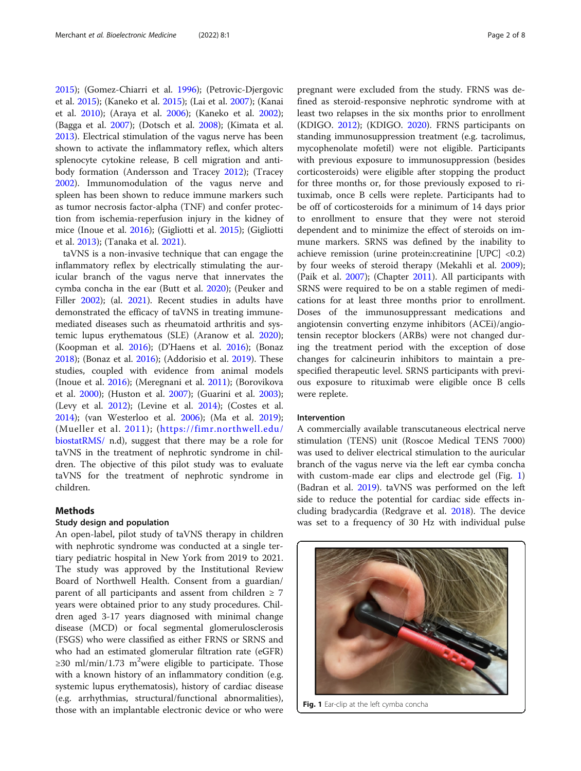[2015](#page-6-0)); (Gomez-Chiarri et al. [1996](#page-6-0)); (Petrovic-Djergovic et al. [2015\)](#page-6-0); (Kaneko et al. [2015\)](#page-6-0); (Lai et al. [2007\)](#page-6-0); (Kanai et al. [2010\)](#page-6-0); (Araya et al. [2006](#page-6-0)); (Kaneko et al. [2002](#page-6-0)); (Bagga et al. [2007\)](#page-6-0); (Dotsch et al. [2008](#page-6-0)); (Kimata et al. [2013](#page-6-0)). Electrical stimulation of the vagus nerve has been shown to activate the inflammatory reflex, which alters splenocyte cytokine release, B cell migration and antibody formation (Andersson and Tracey [2012\)](#page-6-0); (Tracey [2002](#page-6-0)). Immunomodulation of the vagus nerve and spleen has been shown to reduce immune markers such as tumor necrosis factor-alpha (TNF) and confer protection from ischemia-reperfusion injury in the kidney of mice (Inoue et al. [2016\)](#page-6-0); (Gigliotti et al. [2015\)](#page-6-0); (Gigliotti et al. [2013\)](#page-6-0); (Tanaka et al. [2021](#page-6-0)).

taVNS is a non-invasive technique that can engage the inflammatory reflex by electrically stimulating the auricular branch of the vagus nerve that innervates the cymba concha in the ear (Butt et al. [2020\)](#page-6-0); (Peuker and Filler [2002\)](#page-6-0); (al. [2021\)](#page-6-0). Recent studies in adults have demonstrated the efficacy of taVNS in treating immunemediated diseases such as rheumatoid arthritis and systemic lupus erythematous (SLE) (Aranow et al. [2020](#page-6-0)); (Koopman et al. [2016\)](#page-6-0); (D'Haens et al. [2016\)](#page-6-0); (Bonaz [2018](#page-6-0)); (Bonaz et al. [2016](#page-6-0)); (Addorisio et al. [2019](#page-6-0)). These studies, coupled with evidence from animal models (Inoue et al. [2016](#page-6-0)); (Meregnani et al. [2011\)](#page-6-0); (Borovikova et al. [2000](#page-6-0)); (Huston et al. [2007\)](#page-6-0); (Guarini et al. [2003](#page-6-0)); (Levy et al. [2012\)](#page-6-0); (Levine et al. [2014\)](#page-6-0); (Costes et al. [2014](#page-6-0)); (van Westerloo et al. [2006\)](#page-6-0); (Ma et al. [2019](#page-6-0)); (Mueller et al. [2011](#page-6-0)); ([https://fimr.northwell.edu/](https://fimr.northwell.edu/biostatRMS/) [biostatRMS/](https://fimr.northwell.edu/biostatRMS/) n.d), suggest that there may be a role for taVNS in the treatment of nephrotic syndrome in children. The objective of this pilot study was to evaluate taVNS for the treatment of nephrotic syndrome in children.

# Methods

# Study design and population

An open-label, pilot study of taVNS therapy in children with nephrotic syndrome was conducted at a single tertiary pediatric hospital in New York from 2019 to 2021. The study was approved by the Institutional Review Board of Northwell Health. Consent from a guardian/ parent of all participants and assent from children  $\geq 7$ years were obtained prior to any study procedures. Children aged 3-17 years diagnosed with minimal change disease (MCD) or focal segmental glomerulosclerosis (FSGS) who were classified as either FRNS or SRNS and who had an estimated glomerular filtration rate (eGFR) ≥30 ml/min/1.73 m<sup>2</sup>were eligible to participate. Those with a known history of an inflammatory condition (e.g. systemic lupus erythematosis), history of cardiac disease (e.g. arrhythmias, structural/functional abnormalities), those with an implantable electronic device or who were pregnant were excluded from the study. FRNS was defined as steroid-responsive nephrotic syndrome with at least two relapses in the six months prior to enrollment (KDIGO. [2012](#page-6-0)); (KDIGO. [2020](#page-6-0)). FRNS participants on standing immunosuppression treatment (e.g. tacrolimus, mycophenolate mofetil) were not eligible. Participants with previous exposure to immunosuppression (besides corticosteroids) were eligible after stopping the product for three months or, for those previously exposed to rituximab, once B cells were replete. Participants had to be off of corticosteroids for a minimum of 14 days prior to enrollment to ensure that they were not steroid dependent and to minimize the effect of steroids on immune markers. SRNS was defined by the inability to achieve remission (urine protein:creatinine [UPC] <0.2) by four weeks of steroid therapy (Mekahli et al. [2009](#page-6-0)); (Paik et al. [2007\)](#page-6-0); (Chapter [2011](#page-6-0)). All participants with SRNS were required to be on a stable regimen of medications for at least three months prior to enrollment. Doses of the immunosuppressant medications and angiotensin converting enzyme inhibitors (ACEi)/angiotensin receptor blockers (ARBs) were not changed during the treatment period with the exception of dose changes for calcineurin inhibitors to maintain a prespecified therapeutic level. SRNS participants with previous exposure to rituximab were eligible once B cells were replete.

# Intervention

A commercially available transcutaneous electrical nerve stimulation (TENS) unit (Roscoe Medical TENS 7000) was used to deliver electrical stimulation to the auricular branch of the vagus nerve via the left ear cymba concha with custom-made ear clips and electrode gel (Fig. 1) (Badran et al. [2019](#page-6-0)). taVNS was performed on the left side to reduce the potential for cardiac side effects including bradycardia (Redgrave et al. [2018](#page-6-0)). The device was set to a frequency of 30 Hz with individual pulse



Fig. 1 Ear-clip at the left cymba concha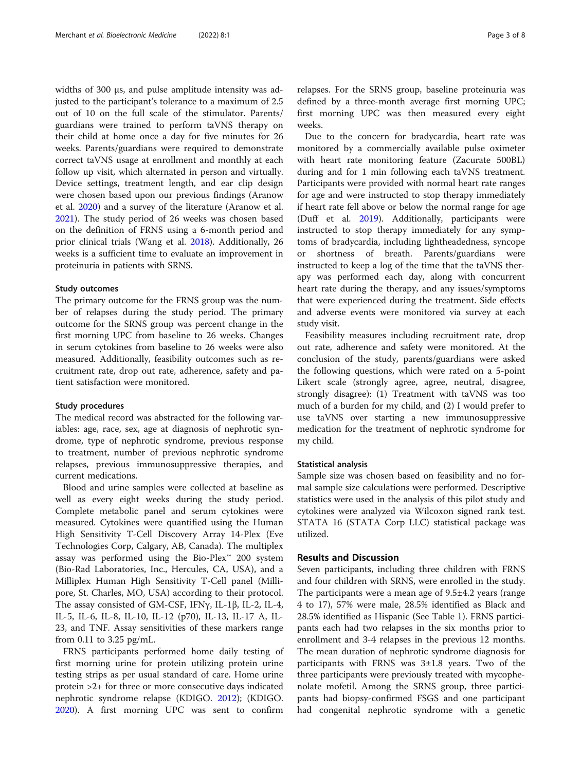widths of 300 µs, and pulse amplitude intensity was adjusted to the participant's tolerance to a maximum of 2.5 out of 10 on the full scale of the stimulator. Parents/ guardians were trained to perform taVNS therapy on their child at home once a day for five minutes for 26 weeks. Parents/guardians were required to demonstrate correct taVNS usage at enrollment and monthly at each follow up visit, which alternated in person and virtually. Device settings, treatment length, and ear clip design were chosen based upon our previous findings (Aranow et al. [2020](#page-6-0)) and a survey of the literature (Aranow et al. [2021](#page-7-0)). The study period of 26 weeks was chosen based on the definition of FRNS using a 6-month period and prior clinical trials (Wang et al. [2018\)](#page-7-0). Additionally, 26 weeks is a sufficient time to evaluate an improvement in proteinuria in patients with SRNS.

# Study outcomes

The primary outcome for the FRNS group was the number of relapses during the study period. The primary outcome for the SRNS group was percent change in the first morning UPC from baseline to 26 weeks. Changes in serum cytokines from baseline to 26 weeks were also measured. Additionally, feasibility outcomes such as recruitment rate, drop out rate, adherence, safety and patient satisfaction were monitored.

# Study procedures

The medical record was abstracted for the following variables: age, race, sex, age at diagnosis of nephrotic syndrome, type of nephrotic syndrome, previous response to treatment, number of previous nephrotic syndrome relapses, previous immunosuppressive therapies, and current medications.

Blood and urine samples were collected at baseline as well as every eight weeks during the study period. Complete metabolic panel and serum cytokines were measured. Cytokines were quantified using the Human High Sensitivity T-Cell Discovery Array 14-Plex (Eve Technologies Corp, Calgary, AB, Canada). The multiplex assay was performed using the Bio-Plex™ 200 system (Bio-Rad Laboratories, Inc., Hercules, CA, USA), and a Milliplex Human High Sensitivity T-Cell panel (Millipore, St. Charles, MO, USA) according to their protocol. The assay consisted of GM-CSF, IFNγ, IL-1β, IL-2, IL-4, IL-5, IL-6, IL-8, IL-10, IL-12 (p70), IL-13, IL-17 A, IL-23, and TNF. Assay sensitivities of these markers range from 0.11 to 3.25 pg/mL.

FRNS participants performed home daily testing of first morning urine for protein utilizing protein urine testing strips as per usual standard of care. Home urine protein >2+ for three or more consecutive days indicated nephrotic syndrome relapse (KDIGO. [2012\)](#page-6-0); (KDIGO. [2020](#page-6-0)). A first morning UPC was sent to confirm relapses. For the SRNS group, baseline proteinuria was defined by a three-month average first morning UPC; first morning UPC was then measured every eight weeks.

Due to the concern for bradycardia, heart rate was monitored by a commercially available pulse oximeter with heart rate monitoring feature (Zacurate 500BL) during and for 1 min following each taVNS treatment. Participants were provided with normal heart rate ranges for age and were instructed to stop therapy immediately if heart rate fell above or below the normal range for age (Duff et al. [2019](#page-7-0)). Additionally, participants were instructed to stop therapy immediately for any symptoms of bradycardia, including lightheadedness, syncope or shortness of breath. Parents/guardians were instructed to keep a log of the time that the taVNS therapy was performed each day, along with concurrent heart rate during the therapy, and any issues/symptoms that were experienced during the treatment. Side effects and adverse events were monitored via survey at each study visit.

Feasibility measures including recruitment rate, drop out rate, adherence and safety were monitored. At the conclusion of the study, parents/guardians were asked the following questions, which were rated on a 5-point Likert scale (strongly agree, agree, neutral, disagree, strongly disagree): (1) Treatment with taVNS was too much of a burden for my child, and (2) I would prefer to use taVNS over starting a new immunosuppressive medication for the treatment of nephrotic syndrome for my child.

# Statistical analysis

Sample size was chosen based on feasibility and no formal sample size calculations were performed. Descriptive statistics were used in the analysis of this pilot study and cytokines were analyzed via Wilcoxon signed rank test. STATA 16 (STATA Corp LLC) statistical package was utilized.

# Results and Discussion

Seven participants, including three children with FRNS and four children with SRNS, were enrolled in the study. The participants were a mean age of 9.5±4.2 years (range 4 to 17), 57% were male, 28.5% identified as Black and 28.5% identified as Hispanic (See Table [1](#page-3-0)). FRNS participants each had two relapses in the six months prior to enrollment and 3-4 relapses in the previous 12 months. The mean duration of nephrotic syndrome diagnosis for participants with FRNS was  $3\pm1.8$  years. Two of the three participants were previously treated with mycophenolate mofetil. Among the SRNS group, three participants had biopsy-confirmed FSGS and one participant had congenital nephrotic syndrome with a genetic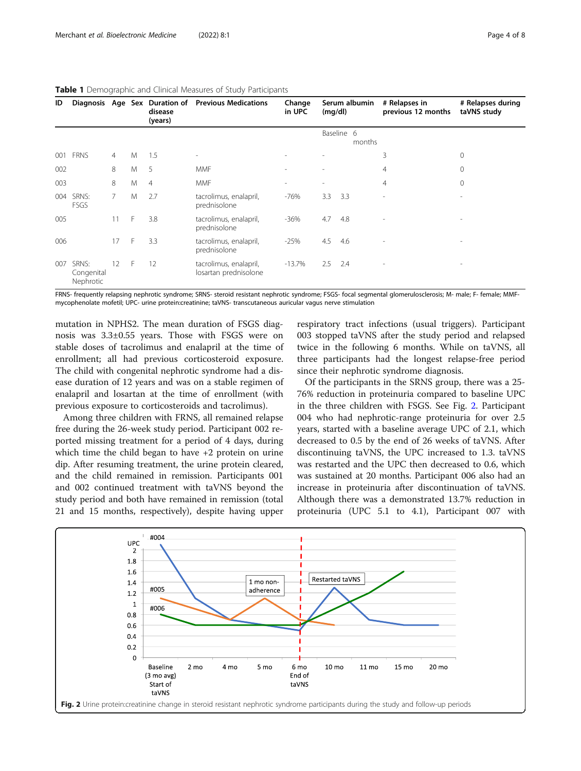| $\tilde{\phantom{a}}$<br>. . |                                  |                |   |                                                     |                                                 |                  |                          |            |        |                                     |                                  |
|------------------------------|----------------------------------|----------------|---|-----------------------------------------------------|-------------------------------------------------|------------------|--------------------------|------------|--------|-------------------------------------|----------------------------------|
| ID                           |                                  |                |   | Diagnosis Age Sex Duration of<br>disease<br>(years) | <b>Previous Medications</b>                     | Change<br>in UPC | Serum albumin<br>(mg/dl) |            |        | # Relapses in<br>previous 12 months | # Relapses during<br>taVNS study |
|                              |                                  |                |   |                                                     |                                                 |                  |                          | Baseline 6 | months |                                     |                                  |
| 001                          | <b>FRNS</b>                      | $\overline{4}$ | M | 1.5                                                 | $\overline{\phantom{a}}$                        |                  |                          |            |        | 3                                   | 0                                |
| 002                          |                                  | 8              | M | 5                                                   | <b>MMF</b>                                      |                  | $\overline{a}$           |            |        | 4                                   | $\mathbf 0$                      |
| 003                          |                                  | 8              | M | $\overline{4}$                                      | <b>MMF</b>                                      |                  | $\overline{\phantom{a}}$ |            |        | $\overline{4}$                      | $\mathbf{0}$                     |
| 004                          | SRNS:<br>FSGS                    | $\overline{7}$ | M | 2.7                                                 | tacrolimus, enalapril,<br>prednisolone          | $-76%$           | 3.3                      | 3.3        |        | ٠                                   | $\overline{a}$                   |
| 005                          |                                  | 11             | F | 3.8                                                 | tacrolimus, enalapril,<br>prednisolone          | $-36%$           | 4.7                      | 4.8        |        | $\overline{a}$                      | $\qquad \qquad \blacksquare$     |
| 006                          |                                  | 17             | F | 3.3                                                 | tacrolimus, enalapril,<br>prednisolone          | $-25%$           | 4.5                      | 4.6        |        | $\overline{a}$                      | $\qquad \qquad \blacksquare$     |
| 007                          | SRNS:<br>Congenital<br>Nephrotic | 12             | F | 12                                                  | tacrolimus, enalapril,<br>losartan prednisolone | $-13.7%$         | 2.5                      | 2.4        |        | ٠                                   | $\overline{\phantom{0}}$         |

# <span id="page-3-0"></span>Table 1 Demographic and Clinical Measures of Study Participants

FRNS- frequently relapsing nephrotic syndrome; SRNS- steroid resistant nephrotic syndrome; FSGS- focal segmental glomerulosclerosis; M- male; F- female; MMFmycophenolate mofetil; UPC- urine protein:creatinine; taVNS- transcutaneous auricular vagus nerve stimulation

mutation in NPHS2. The mean duration of FSGS diagnosis was 3.3±0.55 years. Those with FSGS were on stable doses of tacrolimus and enalapril at the time of enrollment; all had previous corticosteroid exposure. The child with congenital nephrotic syndrome had a disease duration of 12 years and was on a stable regimen of enalapril and losartan at the time of enrollment (with previous exposure to corticosteroids and tacrolimus).

Among three children with FRNS, all remained relapse free during the 26-week study period. Participant 002 reported missing treatment for a period of 4 days, during which time the child began to have +2 protein on urine dip. After resuming treatment, the urine protein cleared, and the child remained in remission. Participants 001 and 002 continued treatment with taVNS beyond the study period and both have remained in remission (total 21 and 15 months, respectively), despite having upper

respiratory tract infections (usual triggers). Participant 003 stopped taVNS after the study period and relapsed twice in the following 6 months. While on taVNS, all three participants had the longest relapse-free period since their nephrotic syndrome diagnosis.

Of the participants in the SRNS group, there was a 25- 76% reduction in proteinuria compared to baseline UPC in the three children with FSGS. See Fig. 2. Participant 004 who had nephrotic-range proteinuria for over 2.5 years, started with a baseline average UPC of 2.1, which decreased to 0.5 by the end of 26 weeks of taVNS. After discontinuing taVNS, the UPC increased to 1.3. taVNS was restarted and the UPC then decreased to 0.6, which was sustained at 20 months. Participant 006 also had an increase in proteinuria after discontinuation of taVNS. Although there was a demonstrated 13.7% reduction in proteinuria (UPC 5.1 to 4.1), Participant 007 with

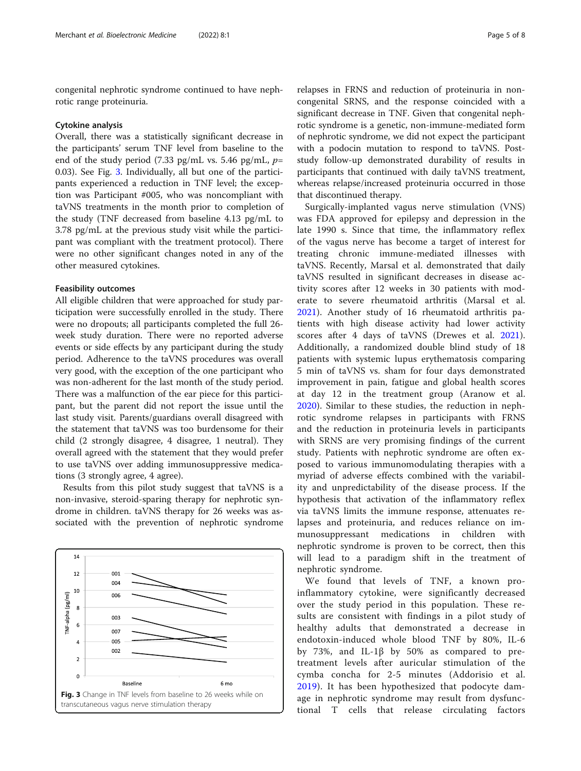congenital nephrotic syndrome continued to have nephrotic range proteinuria.

## Cytokine analysis

Overall, there was a statistically significant decrease in the participants' serum TNF level from baseline to the end of the study period (7.33 pg/mL vs. 5.46 pg/mL,  $p=$ 0.03). See Fig. 3. Individually, all but one of the participants experienced a reduction in TNF level; the exception was Participant #005, who was noncompliant with taVNS treatments in the month prior to completion of the study (TNF decreased from baseline 4.13 pg/mL to 3.78 pg/mL at the previous study visit while the participant was compliant with the treatment protocol). There were no other significant changes noted in any of the other measured cytokines.

# Feasibility outcomes

All eligible children that were approached for study participation were successfully enrolled in the study. There were no dropouts; all participants completed the full 26 week study duration. There were no reported adverse events or side effects by any participant during the study period. Adherence to the taVNS procedures was overall very good, with the exception of the one participant who was non-adherent for the last month of the study period. There was a malfunction of the ear piece for this participant, but the parent did not report the issue until the last study visit. Parents/guardians overall disagreed with the statement that taVNS was too burdensome for their child (2 strongly disagree, 4 disagree, 1 neutral). They overall agreed with the statement that they would prefer to use taVNS over adding immunosuppressive medications (3 strongly agree, 4 agree).

Results from this pilot study suggest that taVNS is a non-invasive, steroid-sparing therapy for nephrotic syndrome in children. taVNS therapy for 26 weeks was associated with the prevention of nephrotic syndrome



relapses in FRNS and reduction of proteinuria in noncongenital SRNS, and the response coincided with a significant decrease in TNF. Given that congenital nephrotic syndrome is a genetic, non-immune-mediated form of nephrotic syndrome, we did not expect the participant with a podocin mutation to respond to taVNS. Poststudy follow-up demonstrated durability of results in participants that continued with daily taVNS treatment, whereas relapse/increased proteinuria occurred in those that discontinued therapy.

Surgically-implanted vagus nerve stimulation (VNS) was FDA approved for epilepsy and depression in the late 1990 s. Since that time, the inflammatory reflex of the vagus nerve has become a target of interest for treating chronic immune-mediated illnesses with taVNS. Recently, Marsal et al. demonstrated that daily taVNS resulted in significant decreases in disease activity scores after 12 weeks in 30 patients with moderate to severe rheumatoid arthritis (Marsal et al. [2021\)](#page-7-0). Another study of 16 rheumatoid arthritis patients with high disease activity had lower activity scores after 4 days of taVNS (Drewes et al. [2021](#page-7-0)). Additionally, a randomized double blind study of 18 patients with systemic lupus erythematosis comparing 5 min of taVNS vs. sham for four days demonstrated improvement in pain, fatigue and global health scores at day 12 in the treatment group (Aranow et al. [2020\)](#page-6-0). Similar to these studies, the reduction in nephrotic syndrome relapses in participants with FRNS and the reduction in proteinuria levels in participants with SRNS are very promising findings of the current study. Patients with nephrotic syndrome are often exposed to various immunomodulating therapies with a myriad of adverse effects combined with the variability and unpredictability of the disease process. If the hypothesis that activation of the inflammatory reflex via taVNS limits the immune response, attenuates relapses and proteinuria, and reduces reliance on immunosuppressant medications in children with nephrotic syndrome is proven to be correct, then this will lead to a paradigm shift in the treatment of nephrotic syndrome.

We found that levels of TNF, a known proinflammatory cytokine, were significantly decreased over the study period in this population. These results are consistent with findings in a pilot study of healthy adults that demonstrated a decrease in endotoxin-induced whole blood TNF by 80%, IL-6 by 73%, and IL-1β by 50% as compared to pretreatment levels after auricular stimulation of the cymba concha for 2-5 minutes (Addorisio et al. [2019](#page-6-0)). It has been hypothesized that podocyte damage in nephrotic syndrome may result from dysfunctional T cells that release circulating factors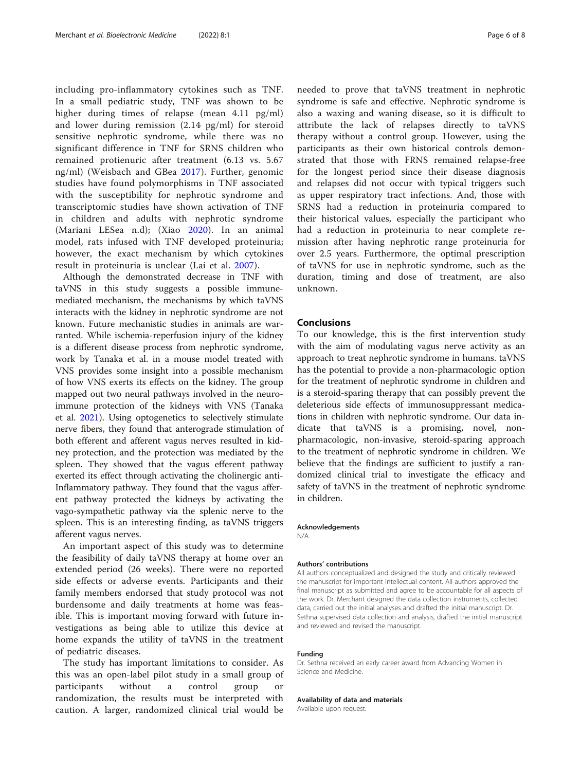including pro-inflammatory cytokines such as TNF. In a small pediatric study, TNF was shown to be higher during times of relapse (mean 4.11 pg/ml) and lower during remission (2.14 pg/ml) for steroid sensitive nephrotic syndrome, while there was no significant difference in TNF for SRNS children who remained protienuric after treatment (6.13 vs. 5.67 ng/ml) (Weisbach and GBea [2017](#page-7-0)). Further, genomic studies have found polymorphisms in TNF associated with the susceptibility for nephrotic syndrome and transcriptomic studies have shown activation of TNF in children and adults with nephrotic syndrome (Mariani LESea n.d); (Xiao [2020](#page-7-0)). In an animal model, rats infused with TNF developed proteinuria; however, the exact mechanism by which cytokines result in proteinuria is unclear (Lai et al. [2007\)](#page-6-0).

Although the demonstrated decrease in TNF with taVNS in this study suggests a possible immunemediated mechanism, the mechanisms by which taVNS interacts with the kidney in nephrotic syndrome are not known. Future mechanistic studies in animals are warranted. While ischemia-reperfusion injury of the kidney is a different disease process from nephrotic syndrome, work by Tanaka et al. in a mouse model treated with VNS provides some insight into a possible mechanism of how VNS exerts its effects on the kidney. The group mapped out two neural pathways involved in the neuroimmune protection of the kidneys with VNS (Tanaka et al. [2021\)](#page-6-0). Using optogenetics to selectively stimulate nerve fibers, they found that anterograde stimulation of both efferent and afferent vagus nerves resulted in kidney protection, and the protection was mediated by the spleen. They showed that the vagus efferent pathway exerted its effect through activating the cholinergic anti-Inflammatory pathway. They found that the vagus afferent pathway protected the kidneys by activating the vago-sympathetic pathway via the splenic nerve to the spleen. This is an interesting finding, as taVNS triggers afferent vagus nerves.

An important aspect of this study was to determine the feasibility of daily taVNS therapy at home over an extended period (26 weeks). There were no reported side effects or adverse events. Participants and their family members endorsed that study protocol was not burdensome and daily treatments at home was feasible. This is important moving forward with future investigations as being able to utilize this device at home expands the utility of taVNS in the treatment of pediatric diseases.

The study has important limitations to consider. As this was an open-label pilot study in a small group of participants without a control group or randomization, the results must be interpreted with caution. A larger, randomized clinical trial would be

needed to prove that taVNS treatment in nephrotic syndrome is safe and effective. Nephrotic syndrome is also a waxing and waning disease, so it is difficult to attribute the lack of relapses directly to taVNS therapy without a control group. However, using the participants as their own historical controls demonstrated that those with FRNS remained relapse-free for the longest period since their disease diagnosis and relapses did not occur with typical triggers such as upper respiratory tract infections. And, those with SRNS had a reduction in proteinuria compared to their historical values, especially the participant who had a reduction in proteinuria to near complete remission after having nephrotic range proteinuria for over 2.5 years. Furthermore, the optimal prescription of taVNS for use in nephrotic syndrome, such as the duration, timing and dose of treatment, are also unknown.

# Conclusions

To our knowledge, this is the first intervention study with the aim of modulating vagus nerve activity as an approach to treat nephrotic syndrome in humans. taVNS has the potential to provide a non-pharmacologic option for the treatment of nephrotic syndrome in children and is a steroid-sparing therapy that can possibly prevent the deleterious side effects of immunosuppressant medications in children with nephrotic syndrome. Our data indicate that taVNS is a promising, novel, nonpharmacologic, non-invasive, steroid-sparing approach to the treatment of nephrotic syndrome in children. We believe that the findings are sufficient to justify a randomized clinical trial to investigate the efficacy and safety of taVNS in the treatment of nephrotic syndrome in children.

# Acknowledgements

N/A.

#### Authors' contributions

All authors conceptualized and designed the study and critically reviewed the manuscript for important intellectual content. All authors approved the final manuscript as submitted and agree to be accountable for all aspects of the work. Dr. Merchant designed the data collection instruments, collected data, carried out the initial analyses and drafted the initial manuscript. Dr. Sethna supervised data collection and analysis, drafted the initial manuscript and reviewed and revised the manuscript.

# Funding

Dr. Sethna received an early career award from Advancing Women in Science and Medicine.

# Availability of data and materials

Available upon request.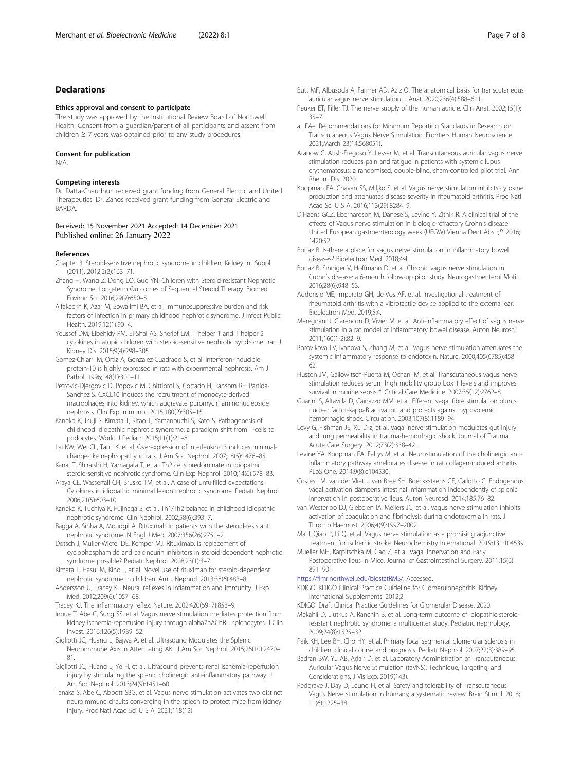# <span id="page-6-0"></span>Declarations

#### Ethics approval and consent to participate

The study was approved by the Institutional Review Board of Northwell Health. Consent from a guardian/parent of all participants and assent from children ≥ 7 years was obtained prior to any study procedures.

# Consent for publication

N/A.

# Competing interests

Dr. Datta-Chaudhuri received grant funding from General Electric and United Therapeutics. Dr. Zanos received grant funding from General Electric and BARDA.

# Received: 15 November 2021 Accepted: 14 December 2021 Published online: 26 January 2022

# References

- Chapter 3. Steroid-sensitive nephrotic syndrome in children. Kidney Int Suppl (2011). 2012;2(2):163–71.
- Zhang H, Wang Z, Dong LQ, Guo YN. Children with Steroid-resistant Nephrotic Syndrome: Long-term Outcomes of Sequential Steroid Therapy. Biomed Environ Sci. 2016;29(9):650–5.
- Alfakeekh K, Azar M, Sowailmi BA, et al. Immunosuppressive burden and risk factors of infection in primary childhood nephrotic syndrome. J Infect Public Health. 2019;12(1):90–4.
- Youssef DM, Elbehidy RM, El-Shal AS, Sherief LM. T helper 1 and T helper 2 cytokines in atopic children with steroid-sensitive nephrotic syndrome. Iran J Kidney Dis. 2015;9(4):298–305.
- Gomez-Chiarri M, Ortiz A, Gonzalez-Cuadrado S, et al. Interferon-inducible protein-10 is highly expressed in rats with experimental nephrosis. Am J Pathol. 1996;148(1):301-11.
- Petrovic-Djergovic D, Popovic M, Chittiprol S, Cortado H, Ransom RF, Partida-Sanchez S. CXCL10 induces the recruitment of monocyte-derived macrophages into kidney, which aggravate puromycin aminonucleoside nephrosis. Clin Exp Immunol. 2015;180(2):305–15.
- Kaneko K, Tsuji S, Kimata T, Kitao T, Yamanouchi S, Kato S. Pathogenesis of childhood idiopathic nephrotic syndrome: a paradigm shift from T-cells to podocytes. World J Pediatr. 2015;11(1):21–8.
- Lai KW, Wei CL, Tan LK, et al. Overexpression of interleukin-13 induces minimalchange-like nephropathy in rats. J Am Soc Nephrol. 2007;18(5):1476–85.
- Kanai T, Shiraishi H, Yamagata T, et al. Th2 cells predominate in idiopathic steroid-sensitive nephrotic syndrome. Clin Exp Nephrol. 2010;14(6):578–83.
- Araya CE, Wasserfall CH, Brusko TM, et al. A case of unfulfilled expectations. Cytokines in idiopathic minimal lesion nephrotic syndrome. Pediatr Nephrol. 2006;21(5):603–10.
- Kaneko K, Tuchiya K, Fujinaga S, et al. Th1/Th2 balance in childhood idiopathic nephrotic syndrome. Clin Nephrol. 2002;58(6):393–7.

Bagga A, Sinha A, Moudgil A. Rituximab in patients with the steroid-resistant nephrotic syndrome. N Engl J Med. 2007;356(26):2751–2.

- Dotsch J, Muller-Wiefel DE, Kemper MJ. Rituximab: is replacement of cyclophosphamide and calcineurin inhibitors in steroid-dependent nephrotic syndrome possible? Pediatr Nephrol. 2008;23(1):3–7.
- Kimata T, Hasui M, Kino J, et al. Novel use of rituximab for steroid-dependent nephrotic syndrome in children. Am J Nephrol. 2013;38(6):483–8.

Andersson U, Tracey KJ. Neural reflexes in inflammation and immunity. J Exp Med. 2012;209(6):1057–68.

Tracey KJ. The inflammatory reflex. Nature. 2002;420(6917):853–9.

Inoue T, Abe C, Sung SS, et al. Vagus nerve stimulation mediates protection from kidney ischemia-reperfusion injury through alpha7nAChR+ splenocytes. J Clin Invest. 2016;126(5):1939–52.

- Gigliotti JC, Huang L, Bajwa A, et al. Ultrasound Modulates the Splenic Neuroimmune Axis in Attenuating AKI. J Am Soc Nephrol. 2015;26(10):2470– 81.
- Gigliotti JC, Huang L, Ye H, et al. Ultrasound prevents renal ischemia-reperfusion injury by stimulating the splenic cholinergic anti-inflammatory pathway. J Am Soc Nephrol. 2013;24(9):1451–60.
- Tanaka S, Abe C, Abbott SBG, et al. Vagus nerve stimulation activates two distinct neuroimmune circuits converging in the spleen to protect mice from kidney injury. Proc Natl Acad Sci U S A. 2021;118(12).
- Butt MF, Albusoda A, Farmer AD, Aziz Q. The anatomical basis for transcutaneous auricular vagus nerve stimulation. J Anat. 2020;236(4):588–611.
- Peuker ET, Filler TJ. The nerve supply of the human auricle. Clin Anat. 2002;15(1): 35–7.
- al. FAe. Recommendations for Minimum Reporting Standards in Research on Transcutaneous Vagus Nerve Stimulation. Frontiers Human Neuroscience. 2021;March 23(14:568051).
- Aranow C, Atish-Fregoso Y, Lesser M, et al. Transcutaneous auricular vagus nerve stimulation reduces pain and fatigue in patients with systemic lupus erythematosus: a randomised, double-blind, sham-controlled pilot trial. Ann Rheum Dis. 2020.
- Koopman FA, Chavan SS, Miljko S, et al. Vagus nerve stimulation inhibits cytokine production and attenuates disease severity in rheumatoid arthritis. Proc Natl Acad Sci U S A. 2016;113(29):8284–9.
- D'Haens GCZ, Eberhardson M, Danese S, Levine Y, Zitnik R. A clinical trial of the effects of Vagus nerve stimulation in biologic-refractory Crohn's disease. United European gastroenterology week (UEGW) Vienna Dent Abstr;P. 2016; 1420:52.
- Bonaz B. Is-there a place for vagus nerve stimulation in inflammatory bowel diseases? Bioelectron Med. 2018;4:4.
- Bonaz B, Sinniger V, Hoffmann D, et al. Chronic vagus nerve stimulation in Crohn's disease: a 6-month follow-up pilot study. Neurogastroenterol Motil. 2016;28(6):948–53.
- Addorisio ME, Imperato GH, de Vos AF, et al. Investigational treatment of rheumatoid arthritis with a vibrotactile device applied to the external ear. Bioelectron Med. 2019;5:4.
- Meregnani J, Clarencon D, Vivier M, et al. Anti-inflammatory effect of vagus nerve stimulation in a rat model of inflammatory bowel disease. Auton Neurosci. 2011;160(1-2):82–9.
- Borovikova LV, Ivanova S, Zhang M, et al. Vagus nerve stimulation attenuates the systemic inflammatory response to endotoxin. Nature. 2000;405(6785):458– 62.
- Huston JM, Gallowitsch-Puerta M, Ochani M, et al. Transcutaneous vagus nerve stimulation reduces serum high mobility group box 1 levels and improves survival in murine sepsis \*. Critical Care Medicine. 2007;35(12):2762–8.
- Guarini S, Altavilla D, Cainazzo MM, et al. Efferent vagal fibre stimulation blunts nuclear factor-kappaB activation and protects against hypovolemic hemorrhagic shock. Circulation. 2003;107(8):1189–94.
- Levy G, Fishman JE, Xu D-z, et al. Vagal nerve stimulation modulates gut injury and lung permeability in trauma-hemorrhagic shock. Journal of Trauma Acute Care Surgery. 2012;73(2):338–42.
- Levine YA, Koopman FA, Faltys M, et al. Neurostimulation of the cholinergic antiinflammatory pathway ameliorates disease in rat collagen-induced arthritis. PLoS One. 2014;9(8):e104530.
- Costes LM, van der Vliet J, van Bree SH, Boeckxstaens GE, Cailotto C. Endogenous vagal activation dampens intestinal inflammation independently of splenic innervation in postoperative ileus. Auton Neurosci. 2014;185:76–82.
- van Westerloo DJ, Giebelen IA, Meijers JC, et al. Vagus nerve stimulation inhibits activation of coagulation and fibrinolysis during endotoxemia in rats. J Thromb Haemost. 2006;4(9):1997–2002.
- Ma J, Qiao P, Li Q, et al. Vagus nerve stimulation as a promising adjunctive treatment for ischemic stroke. Neurochemistry International. 2019;131:104539.
- Mueller MH, Karpitschka M, Gao Z, et al. Vagal Innervation and Early Postoperative Ileus in Mice. Journal of Gastrointestinal Surgery. 2011;15(6): 891–901.

<https://fimr.northwell.edu/biostatRMS/>. Accessed.

KDIGO. KDIGO Clinical Practice Guideline for Glomerulonephritis. Kidney International Supplements. 2012;2.

KDIGO. Draft Clinical Practice Guidelines for Glomerular Disease. 2020.

Mekahli D, Liutkus A, Ranchin B, et al. Long-term outcome of idiopathic steroidresistant nephrotic syndrome: a multicenter study. Pediatric nephrology. 2009;24(8):1525–32.

- Paik KH, Lee BH, Cho HY, et al. Primary focal segmental glomerular sclerosis in children: clinical course and prognosis. Pediatr Nephrol. 2007;22(3):389–95.
- Badran BW, Yu AB, Adair D, et al. Laboratory Administration of Transcutaneous Auricular Vagus Nerve Stimulation (taVNS): Technique, Targeting, and Considerations. J Vis Exp. 2019(143).
- Redgrave J, Day D, Leung H, et al. Safety and tolerability of Transcutaneous Vagus Nerve stimulation in humans; a systematic review. Brain Stimul. 2018; 11(6):1225–38.